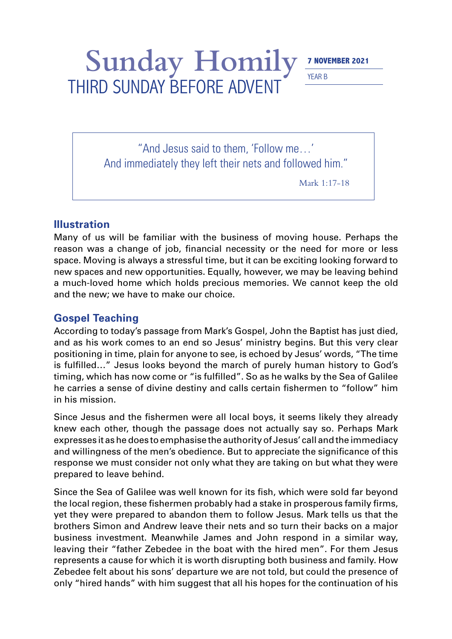## Sunday Homily **7 NOVEMBER 2021** THIRD SUNDAY BEFORE ADVENT

YEAR B

"And Jesus said to them, 'Follow me…' And immediately they left their nets and followed him."

Mark 1:17-18

## **Illustration**

Many of us will be familiar with the business of moving house. Perhaps the reason was a change of job, financial necessity or the need for more or less space. Moving is always a stressful time, but it can be exciting looking forward to new spaces and new opportunities. Equally, however, we may be leaving behind a much-loved home which holds precious memories. We cannot keep the old and the new; we have to make our choice.

## **Gospel Teaching**

According to today's passage from Mark's Gospel, John the Baptist has just died, and as his work comes to an end so Jesus' ministry begins. But this very clear positioning in time, plain for anyone to see, is echoed by Jesus' words, "The time is fulfilled…" Jesus looks beyond the march of purely human history to God's timing, which has now come or "is fulfilled". So as he walks by the Sea of Galilee he carries a sense of divine destiny and calls certain fishermen to "follow" him in his mission.

Since Jesus and the fishermen were all local boys, it seems likely they already knew each other, though the passage does not actually say so. Perhaps Mark expresses it as he does to emphasise the authority of Jesus' call and the immediacy and willingness of the men's obedience. But to appreciate the significance of this response we must consider not only what they are taking on but what they were prepared to leave behind.

Since the Sea of Galilee was well known for its fish, which were sold far beyond the local region, these fishermen probably had a stake in prosperous family firms, yet they were prepared to abandon them to follow Jesus. Mark tells us that the brothers Simon and Andrew leave their nets and so turn their backs on a major business investment. Meanwhile James and John respond in a similar way, leaving their "father Zebedee in the boat with the hired men". For them Jesus represents a cause for which it is worth disrupting both business and family. How Zebedee felt about his sons' departure we are not told, but could the presence of only "hired hands" with him suggest that all his hopes for the continuation of his